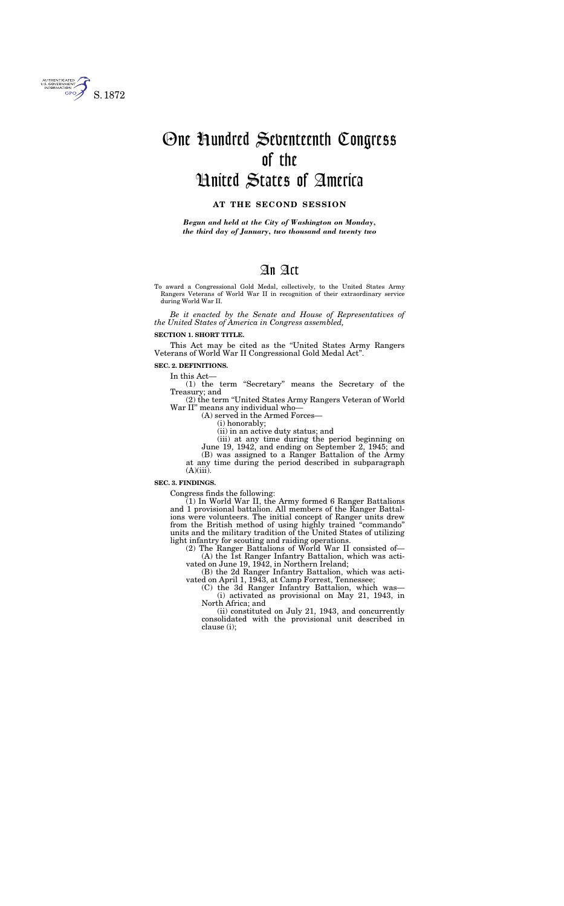To award a Congressional Gold Medal, collectively, to the United States Army Rangers Veterans of World War II in recognition of their extraordinary service during World War II.

*Be it enacted by the Senate and House of Representatives of the United States of America in Congress assembled,* 

#### **SECTION 1. SHORT TITLE.**

This Act may be cited as the ''United States Army Rangers Veterans of World War II Congressional Gold Medal Act''.

### **SEC. 2. DEFINITIONS.**

In this Act—

(1) the term ''Secretary'' means the Secretary of the Treasury; and

(2) the term ''United States Army Rangers Veteran of World War II'' means any individual who—

(A) served in the Armed Forces—

(i) honorably;

(ii) in an active duty status; and

(iii) at any time during the period beginning on

June 19, 1942, and ending on September 2, 1945; and (B) was assigned to a Ranger Battalion of the Army at any time during the period described in subparagraph

 $(A)(iii)$ .

## **SEC. 3. FINDINGS.**

Congress finds the following:

(1) In World War II, the Army formed 6 Ranger Battalions and 1 provisional battalion. All members of the Ranger Battalions were volunteers. The initial concept of Ranger units drew from the British method of using highly trained ''commando'' units and the military tradition of the United States of utilizing light infantry for scouting and raiding operations.

(2) The Ranger Battalions of World War II consisted of—  $(A)$  the  $\overline{1}$ st Ranger Infantry Battalion, which was activated on June 19, 1942, in Northern Ireland;

(B) the 2d Ranger Infantry Battalion, which was activated on April 1, 1943, at Camp Forrest, Tennessee;

(C) the 3d Ranger Infantry Battalion, which was— (i) activated as provisional on May 21, 1943, in North Africa; and

(ii) constituted on July 21, 1943, and concurrently consolidated with the provisional unit described in clause (i);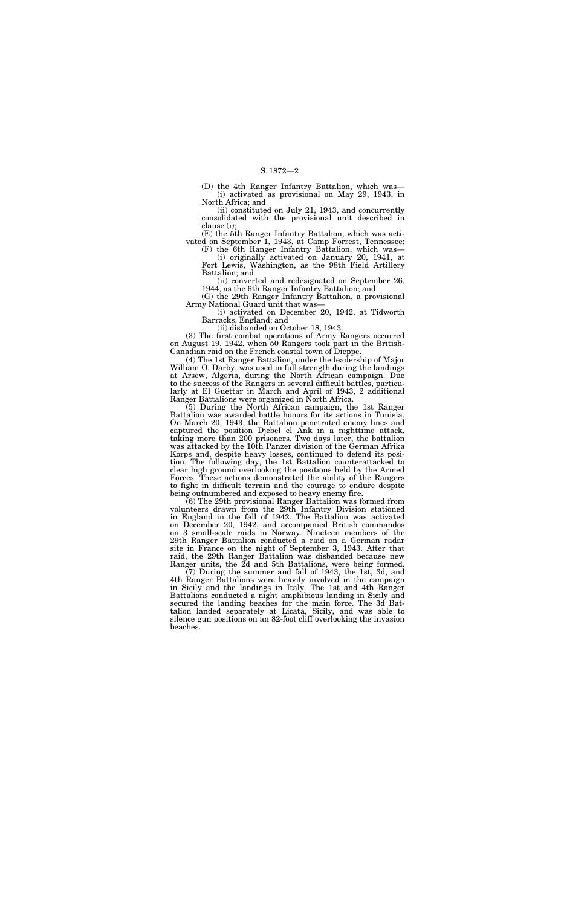(D) the 4th Ranger Infantry Battalion, which was— (i) activated as provisional on May 29, 1943, in North Africa; and

(ii) constituted on July 21, 1943, and concurrently consolidated with the provisional unit described in clause (i);

(E) the 5th Ranger Infantry Battalion, which was activated on September 1, 1943, at Camp Forrest, Tennessee;

(F) the 6th Ranger Infantry Battalion, which was—

(i) originally activated on January 20, 1941, at Fort Lewis, Washington, as the 98th Field Artillery Battalion; and

(ii) converted and redesignated on September 26, 1944, as the 6th Ranger Infantry Battalion; and

(G) the 29th Ranger Infantry Battalion, a provisional Army National Guard unit that was—

(i) activated on December 20, 1942, at Tidworth Barracks, England; and

(ii) disbanded on October 18, 1943.

(3) The first combat operations of Army Rangers occurred on August 19, 1942, when 50 Rangers took part in the British-Canadian raid on the French coastal town of Dieppe.

(4) The 1st Ranger Battalion, under the leadership of Major William O. Darby, was used in full strength during the landings at Arsew, Algeria, during the North African campaign. Due to the success of the Rangers in several difficult battles, particularly at El Guettar in March and April of 1943, 2 additional Ranger Battalions were organized in North Africa.

(5) During the North African campaign, the 1st Ranger Battalion was awarded battle honors for its actions in Tunisia. On March 20, 1943, the Battalion penetrated enemy lines and captured the position Djebel el Ank in a nighttime attack, taking more than 200 prisoners. Two days later, the battalion was attacked by the 10th Panzer division of the German Afrika Korps and, despite heavy losses, continued to defend its position. The following day, the 1st Battalion counterattacked to clear high ground overlooking the positions held by the Armed Forces. These actions demonstrated the ability of the Rangers to fight in difficult terrain and the courage to endure despite being outnumbered and exposed to heavy enemy fire.

(6) The 29th provisional Ranger Battalion was formed from volunteers drawn from the 29th Infantry Division stationed in England in the fall of 1942. The Battalion was activated on December 20, 1942, and accompanied British commandos on 3 small-scale raids in Norway. Nineteen members of the 29th Ranger Battalion conducted a raid on a German radar site in France on the night of September 3, 1943. After that raid, the 29th Ranger Battalion was disbanded because new Ranger units, the 2d and 5th Battalions, were being formed.

(7) During the summer and fall of 1943, the 1st, 3d, and 4th Ranger Battalions were heavily involved in the campaign in Sicily and the landings in Italy. The 1st and 4th Ranger Battalions conducted a night amphibious landing in Sicily and secured the landing beaches for the main force. The 3d Battalion landed separately at Licata, Sicily, and was able to silence gun positions on an 82-foot cliff overlooking the invasion beaches.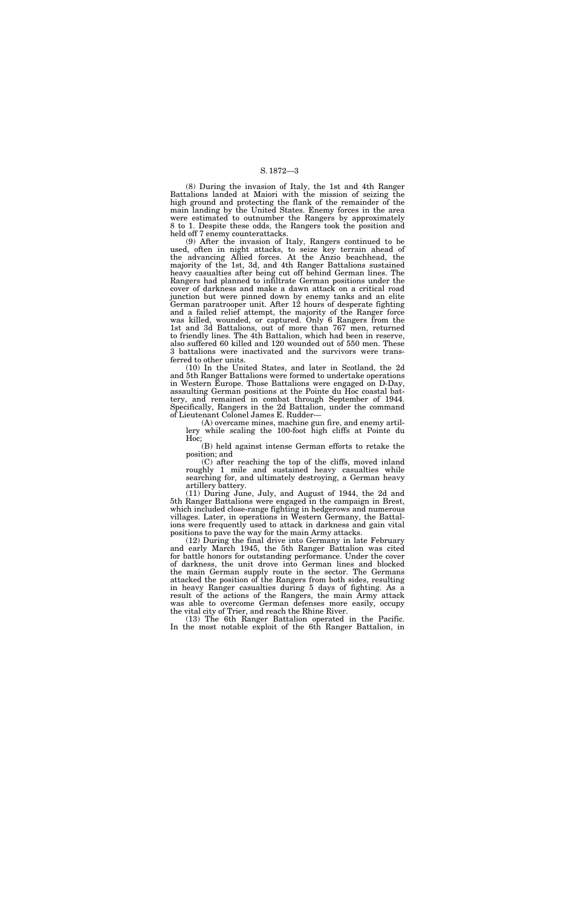(8) During the invasion of Italy, the 1st and 4th Ranger Battalions landed at Maiori with the mission of seizing the high ground and protecting the flank of the remainder of the main landing by the United States. Enemy forces in the area were estimated to outnumber the Rangers by approximately 8 to 1. Despite these odds, the Rangers took the position and held off 7 enemy counterattacks.

(9) After the invasion of Italy, Rangers continued to be used, often in night attacks, to seize key terrain ahead of the advancing Allied forces. At the Anzio beachhead, the majority of the 1st, 3d, and 4th Ranger Battalions sustained heavy casualties after being cut off behind German lines. The Rangers had planned to infiltrate German positions under the cover of darkness and make a dawn attack on a critical road junction but were pinned down by enemy tanks and an elite German paratrooper unit. After 12 hours of desperate fighting and a failed relief attempt, the majority of the Ranger force was killed, wounded, or captured. Only 6 Rangers from the 1st and 3d Battalions, out of more than 767 men, returned to friendly lines. The 4th Battalion, which had been in reserve, also suffered 60 killed and 120 wounded out of 550 men. These 3 battalions were inactivated and the survivors were transferred to other units.

(10) In the United States, and later in Scotland, the 2d and 5th Ranger Battalions were formed to undertake operations in Western Europe. Those Battalions were engaged on D-Day, assaulting German positions at the Pointe du Hoc coastal battery, and remained in combat through September of 1944. Specifically, Rangers in the 2d Battalion, under the command of Lieutenant Colonel James E. Rudder—

(A) overcame mines, machine gun fire, and enemy artillery while scaling the 100-foot high cliffs at Pointe du Hoc;

(B) held against intense German efforts to retake the position; and

(C) after reaching the top of the cliffs, moved inland roughly 1 mile and sustained heavy casualties while searching for, and ultimately destroying, a German heavy artillery battery.

(11) During June, July, and August of 1944, the 2d and 5th Ranger Battalions were engaged in the campaign in Brest, which included close-range fighting in hedgerows and numerous villages. Later, in operations in Western Germany, the Battalions were frequently used to attack in darkness and gain vital positions to pave the way for the main Army attacks.

(12) During the final drive into Germany in late February and early March 1945, the 5th Ranger Battalion was cited for battle honors for outstanding performance. Under the cover of darkness, the unit drove into German lines and blocked the main German supply route in the sector. The Germans attacked the position of the Rangers from both sides, resulting in heavy Ranger casualties during 5 days of fighting. As a result of the actions of the Rangers, the main Army attack was able to overcome German defenses more easily, occupy the vital city of Trier, and reach the Rhine River.

(13) The 6th Ranger Battalion operated in the Pacific. In the most notable exploit of the 6th Ranger Battalion, in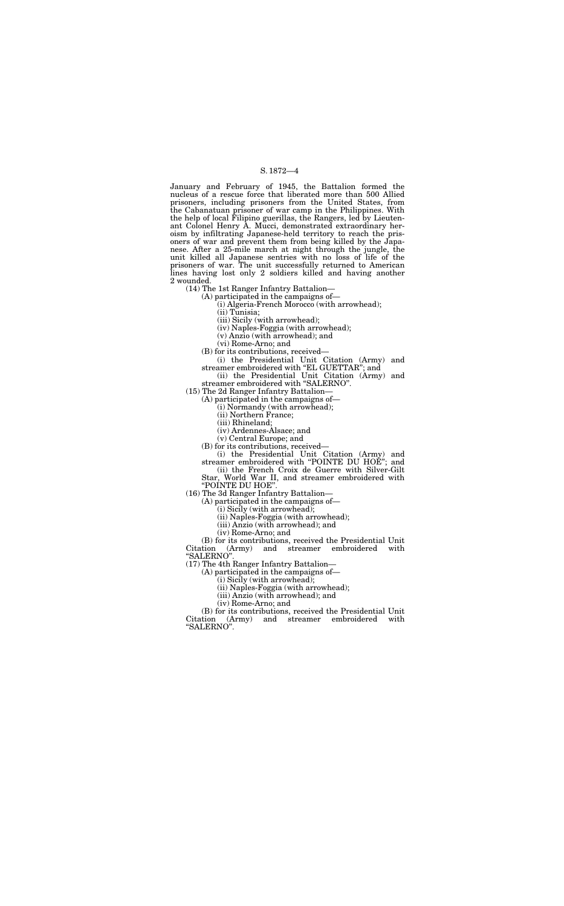January and February of 1945, the Battalion formed the nucleus of a rescue force that liberated more than 500 Allied prisoners, including prisoners from the United States, from the Cabanatuan prisoner of war camp in the Philippines. With the help of local Filipino guerillas, the Rangers, led by Lieutenant Colonel Henry A. Mucci, demonstrated extraordinary heroism by infiltrating Japanese-held territory to reach the prisoners of war and prevent them from being killed by the Japanese. After a 25-mile march at night through the jungle, the unit killed all Japanese sentries with no loss of life of the prisoners of war. The unit successfully returned to American lines having lost only 2 soldiers killed and having another 2 wounded.

> (i) the Presidential Unit Citation (Army) and streamer embroidered with "EL GUETTAR"; and

(14) The 1st Ranger Infantry Battalion—

(A) participated in the campaigns of—

(i) Algeria-French Morocco (with arrowhead);

(ii) Tunisia;

(iii) Sicily (with arrowhead);

(iv) Naples-Foggia (with arrowhead);

(v) Anzio (with arrowhead); and

(vi) Rome-Arno; and

(B) for its contributions, received the Presidential Unit<br>Citation (Army) and streamer embroidered with (Army) and streamer embroidered with ''SALERNO''.

(B) for its contributions, received—

(B) for its contributions, received the Presidential Unit<br>Citation (Army) and streamer embroidered with (Army) and streamer embroidered with ''SALERNO''.

(ii) the Presidential Unit Citation (Army) and streamer embroidered with ''SALERNO''.

(15) The 2d Ranger Infantry Battalion—

(A) participated in the campaigns of—

(i) Normandy (with arrowhead);

(ii) Northern France;

(iii) Rhineland;

(iv) Ardennes-Alsace; and

(v) Central Europe; and

(B) for its contributions, received—

(i) the Presidential Unit Citation (Army) and streamer embroidered with ''POINTE DU HOE''; and

(ii) the French Croix de Guerre with Silver-Gilt Star, World War II, and streamer embroidered with

''POINTE DU HOE''.

(16) The 3d Ranger Infantry Battalion—

(A) participated in the campaigns of—

(i) Sicily (with arrowhead);

(ii) Naples-Foggia (with arrowhead);

(iii) Anzio (with arrowhead); and

(iv) Rome-Arno; and

(17) The 4th Ranger Infantry Battalion—

(A) participated in the campaigns of—

(i) Sicily (with arrowhead);

(ii) Naples-Foggia (with arrowhead);

(iii) Anzio (with arrowhead); and

(iv) Rome-Arno; and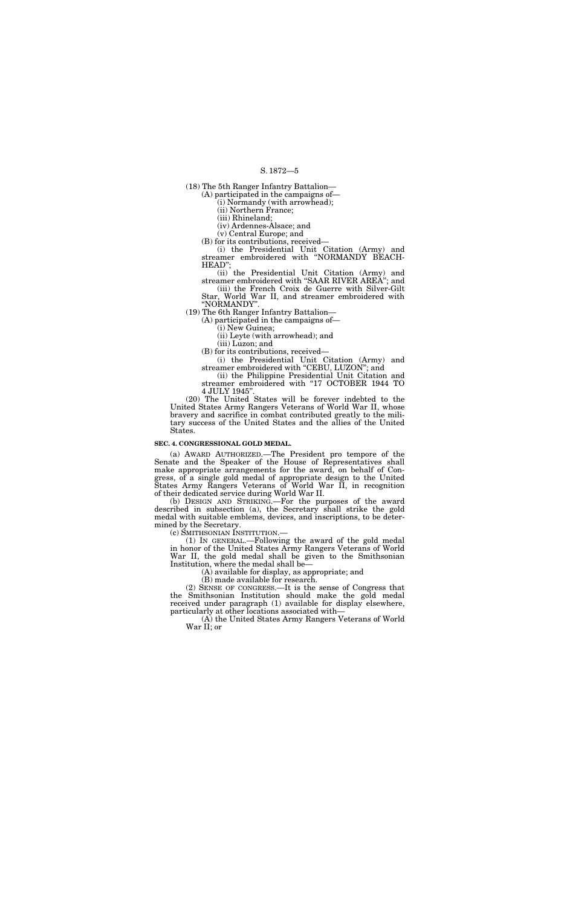(18) The 5th Ranger Infantry Battalion—

(A) participated in the campaigns of—

(i) Normandy (with arrowhead);

(ii) Northern France;

(iii) Rhineland;

(iv) Ardennes-Alsace; and

(v) Central Europe; and

(B) for its contributions, received—

(i) the Presidential Unit Citation (Army) and streamer embroidered with ''NORMANDY BEACH-HEAD'';

(i) the Presidential Unit Citation (Army) and streamer embroidered with "CEBU, LUZON"; and

(ii) the Presidential Unit Citation (Army) and streamer embroidered with ''SAAR RIVER AREA''; and

(iii) the French Croix de Guerre with Silver-Gilt Star, World War II, and streamer embroidered with ''NORMANDY''.

(19) The 6th Ranger Infantry Battalion—

(A) participated in the campaigns of—

(i) New Guinea;

(ii) Leyte (with arrowhead); and

(iii) Luzon; and

(B) for its contributions, received—

(ii) the Philippine Presidential Unit Citation and streamer embroidered with "17 OCTOBER 1944 TO 4 JULY 1945''.

(20) The United States will be forever indebted to the United States Army Rangers Veterans of World War II, whose bravery and sacrifice in combat contributed greatly to the military success of the United States and the allies of the United States.

### **SEC. 4. CONGRESSIONAL GOLD MEDAL.**

(a) AWARD AUTHORIZED.—The President pro tempore of the Senate and the Speaker of the House of Representatives shall make appropriate arrangements for the award, on behalf of Congress, of a single gold medal of appropriate design to the United States Army Rangers Veterans of World War II, in recognition of their dedicated service during World War II.

(b) DESIGN AND STRIKING.—For the purposes of the award described in subsection (a), the Secretary shall strike the gold medal with suitable emblems, devices, and inscriptions, to be determined by the Secretary.

(c) SMITHSONIAN INSTITUTION.—

(1) IN GENERAL.—Following the award of the gold medal in honor of the United States Army Rangers Veterans of World War II, the gold medal shall be given to the Smithsonian Institution, where the medal shall be—

(A) available for display, as appropriate; and

(B) made available for research.

(2) SENSE OF CONGRESS.—It is the sense of Congress that the Smithsonian Institution should make the gold medal received under paragraph (1) available for display elsewhere, particularly at other locations associated with—

(A) the United States Army Rangers Veterans of World War II; or